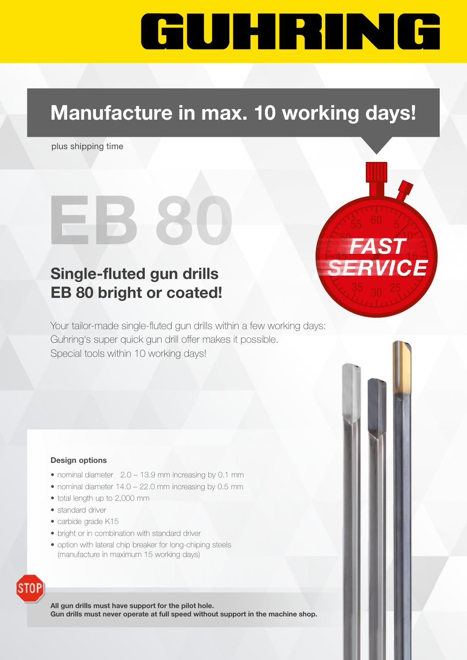# GUHRING

## Manufacture in max. 10 working days!

 $EB 80$ 

plus shipping time

### Single-fluted gun drills EB 80 bright or coated!

Your tailor-made single-fluted gun drills within a few working days: Guhring's super quick gun drill offer makes it possible. Special tools within 10 working days!

#### Design options

- nominal diameter 2.0 13.9 mm increasing by 0.1 mm
- nominal diameter 14.0 22.0 mm increasing by 0.5 mm
- total length up to 2,000 mm
- standard driver
- carbide grade K15
- bright or in combination with standard driver
- option with lateral chip breaker for long-chiping steels (manufacture in maximum 15 working days)



All gun drills must have support for the pilot hole. Gun drills must never operate at full speed without support in the machine shop.



50

45 15 15 15 15 15

RVICE

10